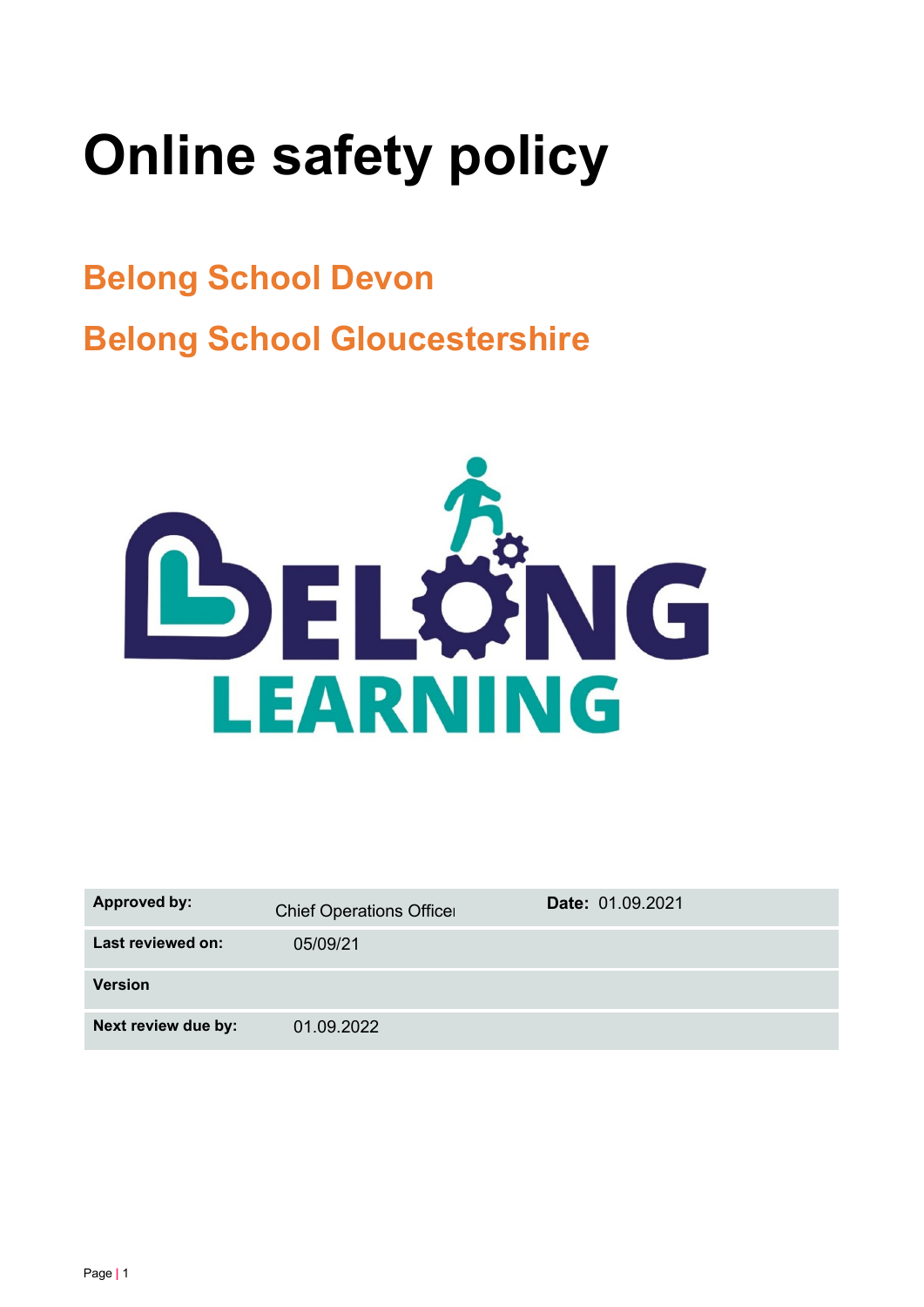# **Online safety policy**

## **Belong School Devon Belong School Gloucestershire**



| <b>Approved by:</b> | <b>Chief Operations Officer</b> | Date: 01.09.2021 |  |
|---------------------|---------------------------------|------------------|--|
| Last reviewed on:   | 05/09/21                        |                  |  |
| <b>Version</b>      |                                 |                  |  |
| Next review due by: | 01.09.2022                      |                  |  |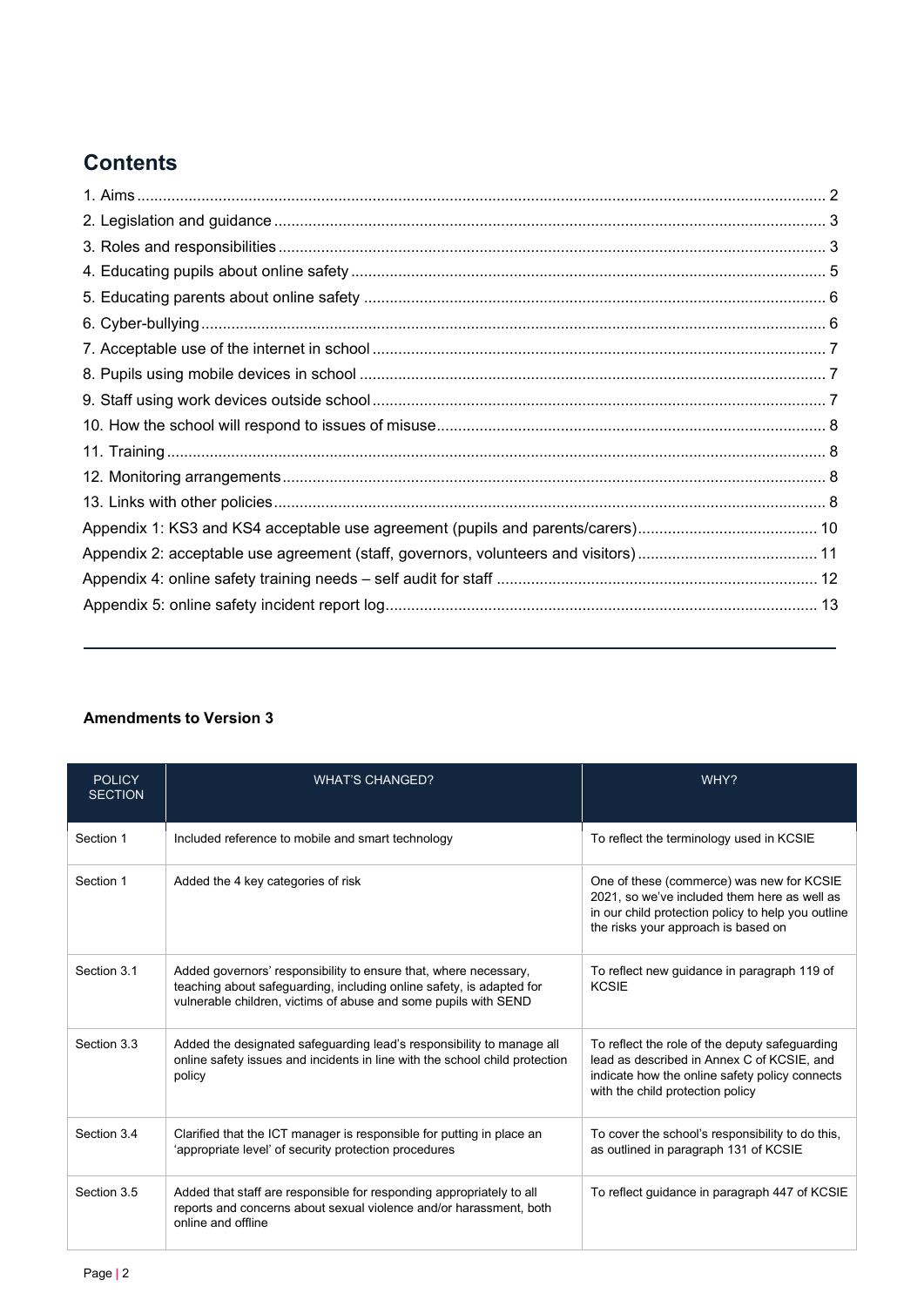## **Contents**

#### <span id="page-1-0"></span>**Amendments to Version 3**

| <b>POLICY</b><br><b>SECTION</b> | <b>WHAT'S CHANGED?</b>                                                                                                                                                                                      | WHY?                                                                                                                                                                                   |
|---------------------------------|-------------------------------------------------------------------------------------------------------------------------------------------------------------------------------------------------------------|----------------------------------------------------------------------------------------------------------------------------------------------------------------------------------------|
| Section 1                       | Included reference to mobile and smart technology                                                                                                                                                           | To reflect the terminology used in KCSIE                                                                                                                                               |
| Section 1                       | Added the 4 key categories of risk                                                                                                                                                                          | One of these (commerce) was new for KCSIE<br>2021, so we've included them here as well as<br>in our child protection policy to help you outline<br>the risks your approach is based on |
| Section 3.1                     | Added governors' responsibility to ensure that, where necessary,<br>teaching about safeguarding, including online safety, is adapted for<br>vulnerable children, victims of abuse and some pupils with SEND | To reflect new guidance in paragraph 119 of<br><b>KCSIE</b>                                                                                                                            |
| Section 3.3                     | Added the designated safeguarding lead's responsibility to manage all<br>online safety issues and incidents in line with the school child protection<br>policy                                              | To reflect the role of the deputy safeguarding<br>lead as described in Annex C of KCSIE, and<br>indicate how the online safety policy connects<br>with the child protection policy     |
| Section 3.4                     | Clarified that the ICT manager is responsible for putting in place an<br>'appropriate level' of security protection procedures                                                                              | To cover the school's responsibility to do this,<br>as outlined in paragraph 131 of KCSIE                                                                                              |
| Section 3.5                     | Added that staff are responsible for responding appropriately to all<br>reports and concerns about sexual violence and/or harassment, both<br>online and offline                                            | To reflect guidance in paragraph 447 of KCSIE                                                                                                                                          |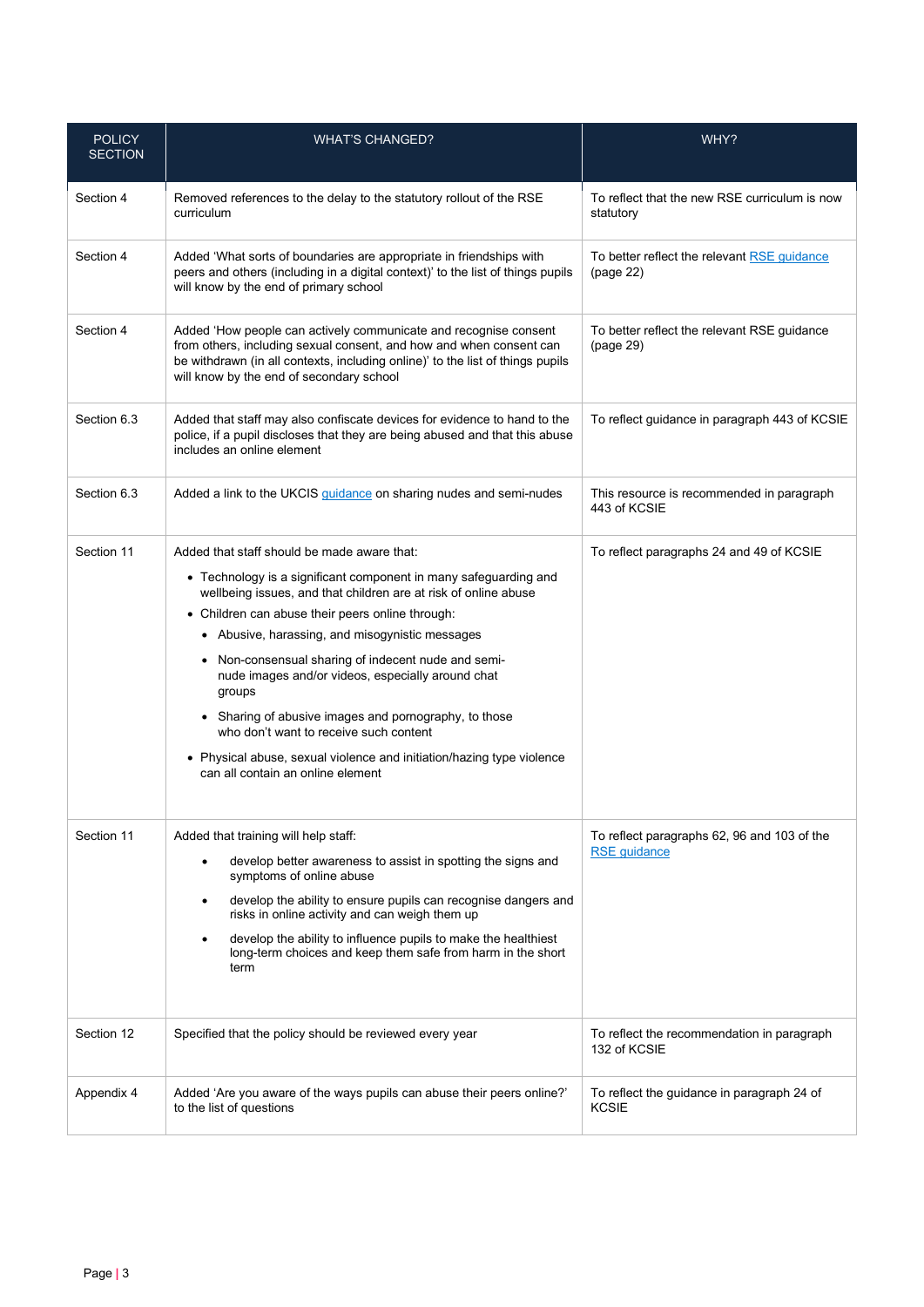| <b>POLICY</b><br><b>SECTION</b> | <b>WHAT'S CHANGED?</b>                                                                                                                                                                                                                                                                                                                                                                                                                                                                                                                                                                                                           | WHY?                                                               |
|---------------------------------|----------------------------------------------------------------------------------------------------------------------------------------------------------------------------------------------------------------------------------------------------------------------------------------------------------------------------------------------------------------------------------------------------------------------------------------------------------------------------------------------------------------------------------------------------------------------------------------------------------------------------------|--------------------------------------------------------------------|
| Section 4                       | Removed references to the delay to the statutory rollout of the RSE<br>curriculum                                                                                                                                                                                                                                                                                                                                                                                                                                                                                                                                                | To reflect that the new RSE curriculum is now<br>statutory         |
| Section 4                       | Added 'What sorts of boundaries are appropriate in friendships with<br>peers and others (including in a digital context)' to the list of things pupils<br>will know by the end of primary school                                                                                                                                                                                                                                                                                                                                                                                                                                 | To better reflect the relevant RSE guidance<br>(page 22)           |
| Section 4                       | Added 'How people can actively communicate and recognise consent<br>from others, including sexual consent, and how and when consent can<br>be withdrawn (in all contexts, including online)' to the list of things pupils<br>will know by the end of secondary school                                                                                                                                                                                                                                                                                                                                                            | To better reflect the relevant RSE guidance<br>(page 29)           |
| Section 6.3                     | Added that staff may also confiscate devices for evidence to hand to the<br>police, if a pupil discloses that they are being abused and that this abuse<br>includes an online element                                                                                                                                                                                                                                                                                                                                                                                                                                            | To reflect guidance in paragraph 443 of KCSIE                      |
| Section 6.3                     | Added a link to the UKCIS guidance on sharing nudes and semi-nudes                                                                                                                                                                                                                                                                                                                                                                                                                                                                                                                                                               | This resource is recommended in paragraph<br>443 of KCSIE          |
| Section 11                      | Added that staff should be made aware that:<br>• Technology is a significant component in many safeguarding and<br>wellbeing issues, and that children are at risk of online abuse<br>• Children can abuse their peers online through:<br>• Abusive, harassing, and misogynistic messages<br>• Non-consensual sharing of indecent nude and semi-<br>nude images and/or videos, especially around chat<br>groups<br>• Sharing of abusive images and pornography, to those<br>who don't want to receive such content<br>• Physical abuse, sexual violence and initiation/hazing type violence<br>can all contain an online element | To reflect paragraphs 24 and 49 of KCSIE                           |
| Section 11                      | Added that training will help staff:<br>develop better awareness to assist in spotting the signs and<br>symptoms of online abuse<br>develop the ability to ensure pupils can recognise dangers and<br>$\bullet$<br>risks in online activity and can weigh them up<br>develop the ability to influence pupils to make the healthiest<br>$\bullet$<br>long-term choices and keep them safe from harm in the short<br>term                                                                                                                                                                                                          | To reflect paragraphs 62, 96 and 103 of the<br><b>RSE</b> guidance |
| Section 12                      | Specified that the policy should be reviewed every year                                                                                                                                                                                                                                                                                                                                                                                                                                                                                                                                                                          | To reflect the recommendation in paragraph<br>132 of KCSIE         |
| Appendix 4                      | Added 'Are you aware of the ways pupils can abuse their peers online?'<br>to the list of questions                                                                                                                                                                                                                                                                                                                                                                                                                                                                                                                               | To reflect the guidance in paragraph 24 of<br><b>KCSIE</b>         |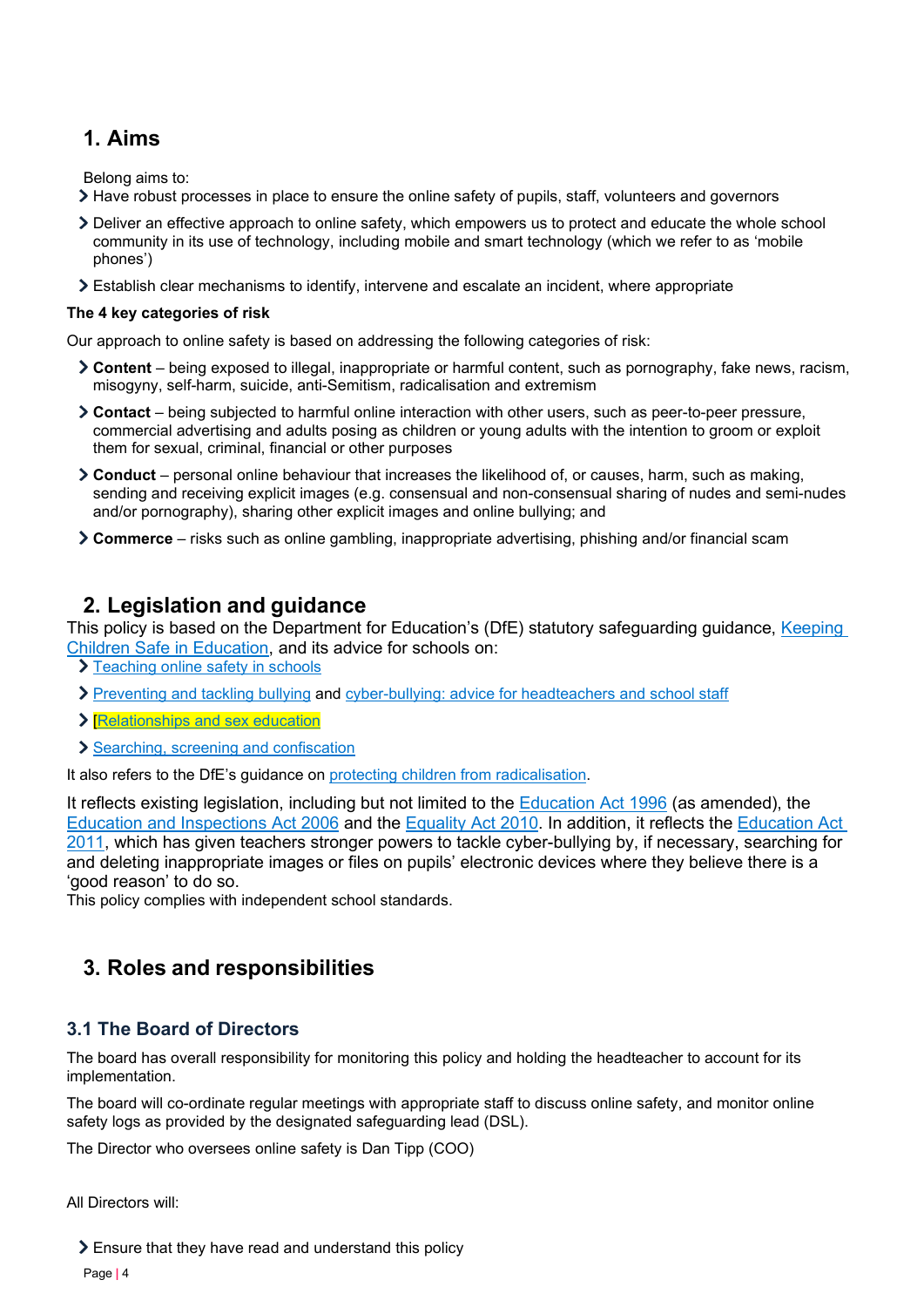## **1. Aims**

Belong aims to:

- Have robust processes in place to ensure the online safety of pupils, staff, volunteers and governors
- Deliver an effective approach to online safety, which empowers us to protect and educate the whole school community in its use of technology, including mobile and smart technology (which we refer to as 'mobile phones')
- Establish clear mechanisms to identify, intervene and escalate an incident, where appropriate

#### **The 4 key categories of risk**

Our approach to online safety is based on addressing the following categories of risk:

- **Content** being exposed to illegal, inappropriate or harmful content, such as pornography, fake news, racism, misogyny, self-harm, suicide, anti-Semitism, radicalisation and extremism
- **Contact** being subjected to harmful online interaction with other users, such as peer-to-peer pressure, commercial advertising and adults posing as children or young adults with the intention to groom or exploit them for sexual, criminal, financial or other purposes
- **Conduct** personal online behaviour that increases the likelihood of, or causes, harm, such as making, sending and receiving explicit images (e.g. consensual and non-consensual sharing of nudes and semi-nudes and/or pornography), sharing other explicit images and online bullying; and
- **Commerce** risks such as online gambling, inappropriate advertising, phishing and/or financial scam

## <span id="page-3-0"></span>**2. Legislation and guidance**

This policy is based on the Department for Education's (DfE) statutory safeguarding guidance, Keeping [Children Safe in Education,](https://www.gov.uk/government/publications/keeping-children-safe-in-education--2) and i[ts advice for schools on:](https://www.gov.uk/government/publications/preventing-and-tackling-bullying) 

- > [Teaching online safety in schools](https://www.gov.uk/government/publications/teaching-online-safety-in-schools)
- [Preventing and tackling bullying](https://www.gov.uk/government/publications/preventing-and-tackling-bullying) and [cyber-bullying: advice for headteachers and school staff](https://www.gov.uk/government/publications/preventing-and-tackling-bullying)
- > Relationships and sex education
- [Searching, screening and confiscation](https://www.gov.uk/government/publications/searching-screening-and-confiscation)

It also refers to the DfE's guidance on [protecting children from radicalisation.](https://www.gov.uk/government/publications/protecting-children-from-radicalisation-the-prevent-duty)

It reflects existing legislation, including but not limited to the [Education Act 1996](https://www.legislation.gov.uk/ukpga/1996/56/contents) (as amended), the [Education and Inspections Act 2006](https://www.legislation.gov.uk/ukpga/2006/40/contents) and the [Equality Act 2010.](https://www.legislation.gov.uk/ukpga/2010/15/contents) In addition, it reflects the [Education Act](http://www.legislation.gov.uk/ukpga/2011/21/contents/enacted)  [2011,](http://www.legislation.gov.uk/ukpga/2011/21/contents/enacted) which has given teachers stronger powers to tackle cyber-bullying by, if necessary, searching for and deleting inappropriate images or files on pupils' electronic devices where they believe there is a 'good reason' to do so.

This policy complies with independent school standards.

## <span id="page-3-1"></span>**3. Roles and responsibilities**

## **3.1 The Board of Directors**

The board has overall responsibility for monitoring this policy and holding the headteacher to account for its implementation.

The board will co-ordinate regular meetings with appropriate staff to discuss online safety, and monitor online safety logs as provided by the designated safeguarding lead (DSL).

The Director who oversees online safety is Dan Tipp (COO)

All Directors will:

Ensure that they have read and understand this policy

Page **|** 4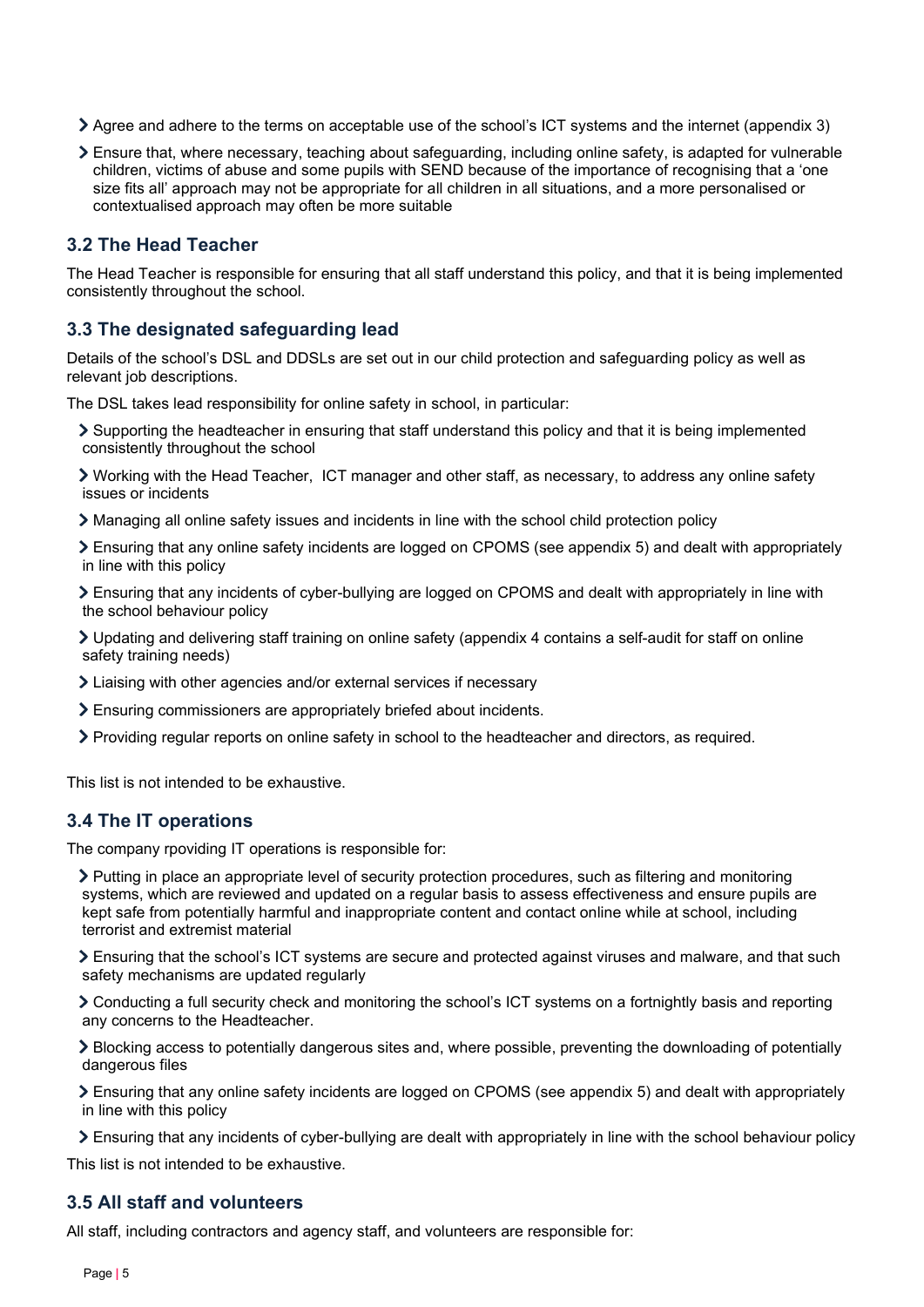- Agree and adhere to the terms on acceptable use of the school's ICT systems and the internet (appendix 3)
- Ensure that, where necessary, teaching about safeguarding, including online safety, is adapted for vulnerable children, victims of abuse and some pupils with SEND because of the importance of recognising that a 'one size fits all' approach may not be appropriate for all children in all situations, and a more personalised or contextualised approach may often be more suitable

## **3.2 The Head Teacher**

The Head Teacher is responsible for ensuring that all staff understand this policy, and that it is being implemented consistently throughout the school.

### **3.3 The designated safeguarding lead**

Details of the school's DSL and DDSLs are set out in our child protection and safeguarding policy as well as relevant job descriptions.

The DSL takes lead responsibility for online safety in school, in particular:

Supporting the headteacher in ensuring that staff understand this policy and that it is being implemented consistently throughout the school

Working with the Head Teacher, ICT manager and other staff, as necessary, to address any online safety issues or incidents

Managing all online safety issues and incidents in line with the school child protection policy

Ensuring that any online safety incidents are logged on CPOMS (see appendix 5) and dealt with appropriately in line with this policy

Ensuring that any incidents of cyber-bullying are logged on CPOMS and dealt with appropriately in line with the school behaviour policy

Updating and delivering staff training on online safety (appendix 4 contains a self-audit for staff on online safety training needs)

- Liaising with other agencies and/or external services if necessary
- Ensuring commissioners are appropriately briefed about incidents.
- Providing regular reports on online safety in school to the headteacher and directors, as required.

This list is not intended to be exhaustive.

#### **3.4 The IT operations**

The company rpoviding IT operations is responsible for:

Putting in place an appropriate level of security protection procedures, such as filtering and monitoring systems, which are reviewed and updated on a regular basis to assess effectiveness and ensure pupils are kept safe from potentially harmful and inappropriate content and contact online while at school, including terrorist and extremist material

Ensuring that the school's ICT systems are secure and protected against viruses and malware, and that such safety mechanisms are updated regularly

Conducting a full security check and monitoring the school's ICT systems on a fortnightly basis and reporting any concerns to the Headteacher.

Blocking access to potentially dangerous sites and, where possible, preventing the downloading of potentially dangerous files

Ensuring that any online safety incidents are logged on CPOMS (see appendix 5) and dealt with appropriately in line with this policy

Ensuring that any incidents of cyber-bullying are dealt with appropriately in line with the school behaviour policy

This list is not intended to be exhaustive.

#### **3.5 All staff and volunteers**

All staff, including contractors and agency staff, and volunteers are responsible for: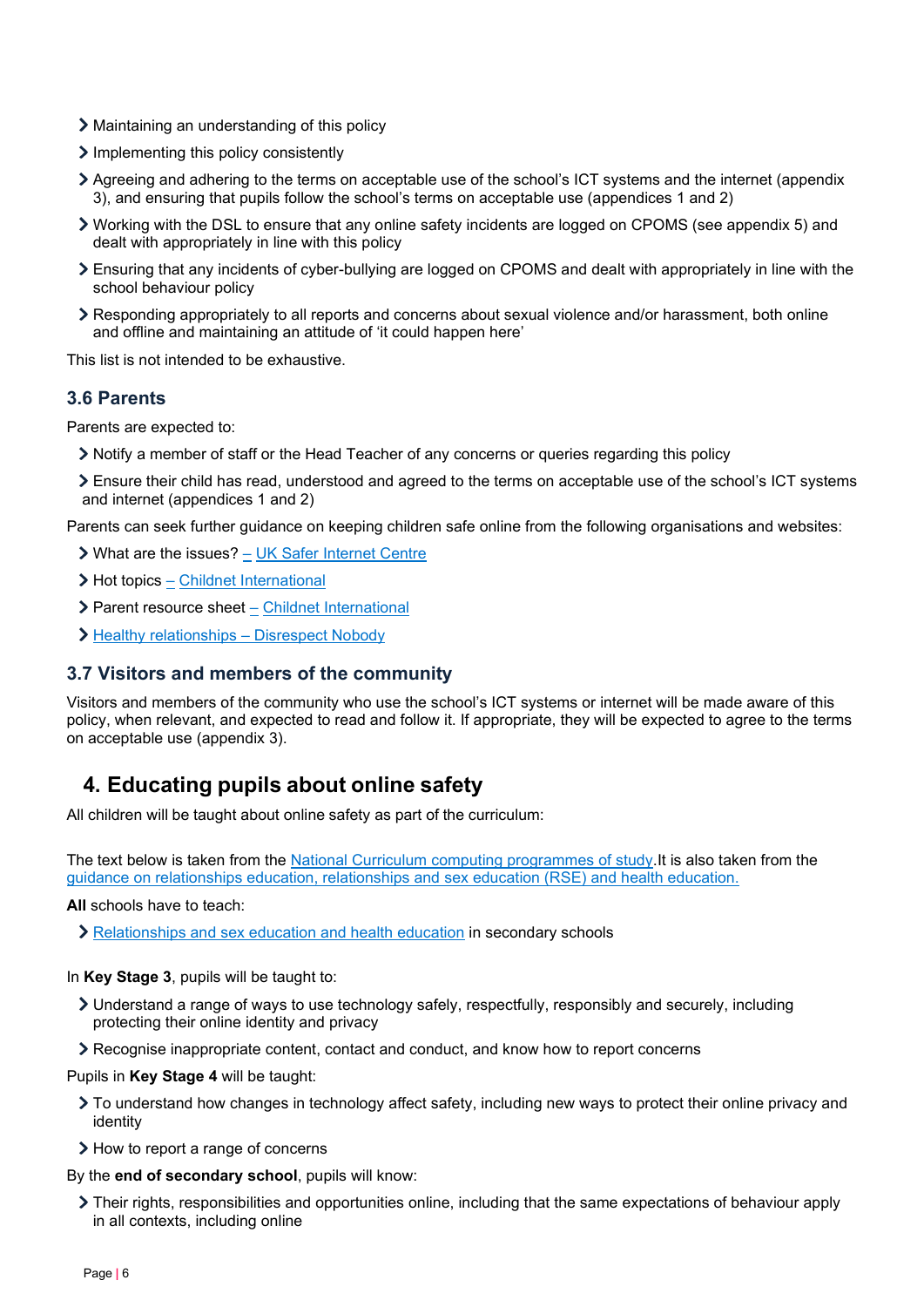- Maintaining an understanding of this policy
- Implementing this policy consistently
- Agreeing and adhering to the terms on acceptable use of the school's ICT systems and the internet (appendix 3), and ensuring that pupils follow the school's terms on acceptable use (appendices 1 and 2)
- Working with the DSL to ensure that any online safety incidents are logged on CPOMS (see appendix 5) and dealt with appropriately in line with this policy
- Ensuring that any incidents of cyber-bullying are logged on CPOMS and dealt with appropriately in line with the school behaviour policy
- Responding appropriately to all reports and concerns about sexual violence and/or harassment, both online and offline and maintaining an attitude of 'it could happen here'

This list is not intended to be exhaustive.

## **3.6 Parents**

Parents are expected to:

- Notify a member of staff or the Head Teacher of any concerns or queries regarding this policy
- Ensure their child has read, understood and agreed to the terms on acceptable use of the school's ICT systems and internet (appendices 1 and 2)

Parents can seek further guidance on keeping children safe online from the following organisations and websites:

- What are the issues? [UK Safer Internet Centre](https://www.saferinternet.org.uk/advice-centre/parents-and-carers/what-are-issues)
- $\triangleright$  Hot topics  $\frac{1}{2}$  [Childnet International](http://www.childnet.com/parents-and-carers/hot-topics)
- Parent resource sheet [Childnet International](https://www.childnet.com/resources/parents-and-carers-resource-sheet)
- > Healthy relationships – [Disrespect Nobody](https://www.disrespectnobody.co.uk/)

#### **3.7 Visitors and members of the community**

Visitors and members of the community who use the school's ICT systems or internet will be made aware of this policy, when relevant, and expected to read and follow it. If appropriate, they will be expected to agree to the terms on acceptable use (appendix 3).

## <span id="page-5-0"></span>**4. Educating pupils about online safety**

All children will be taught about online safety as part of the curriculum:

The text below is taken from the [National Curriculum computing programmes of study.I](https://www.gov.uk/government/publications/national-curriculum-in-england-computing-programmes-of-study/national-curriculum-in-england-computing-programmes-of-study)t is also taken from the [guidance on relationships education, relationships and sex education \(RSE\) and health education.](https://www.gov.uk/government/publications/relationships-education-relationships-and-sex-education-rse-and-health-education) 

**All** schools have to teach:

[Relationships and sex education and health education](https://schoolleaders.thekeysupport.com/uid/66a1d83e-2fb9-411e-91f1-fe52a09d16d1/) in secondary schools

#### In **Key Stage 3**, pupils will be taught to:

- Understand a range of ways to use technology safely, respectfully, responsibly and securely, including protecting their online identity and privacy
- Recognise inappropriate content, contact and conduct, and know how to report concerns

#### Pupils in **Key Stage 4** will be taught:

- To understand how changes in technology affect safety, including new ways to protect their online privacy and identity
- > How to report a range of concerns

By the **end of secondary school**, pupils will know:

Their rights, responsibilities and opportunities online, including that the same expectations of behaviour apply in all contexts, including online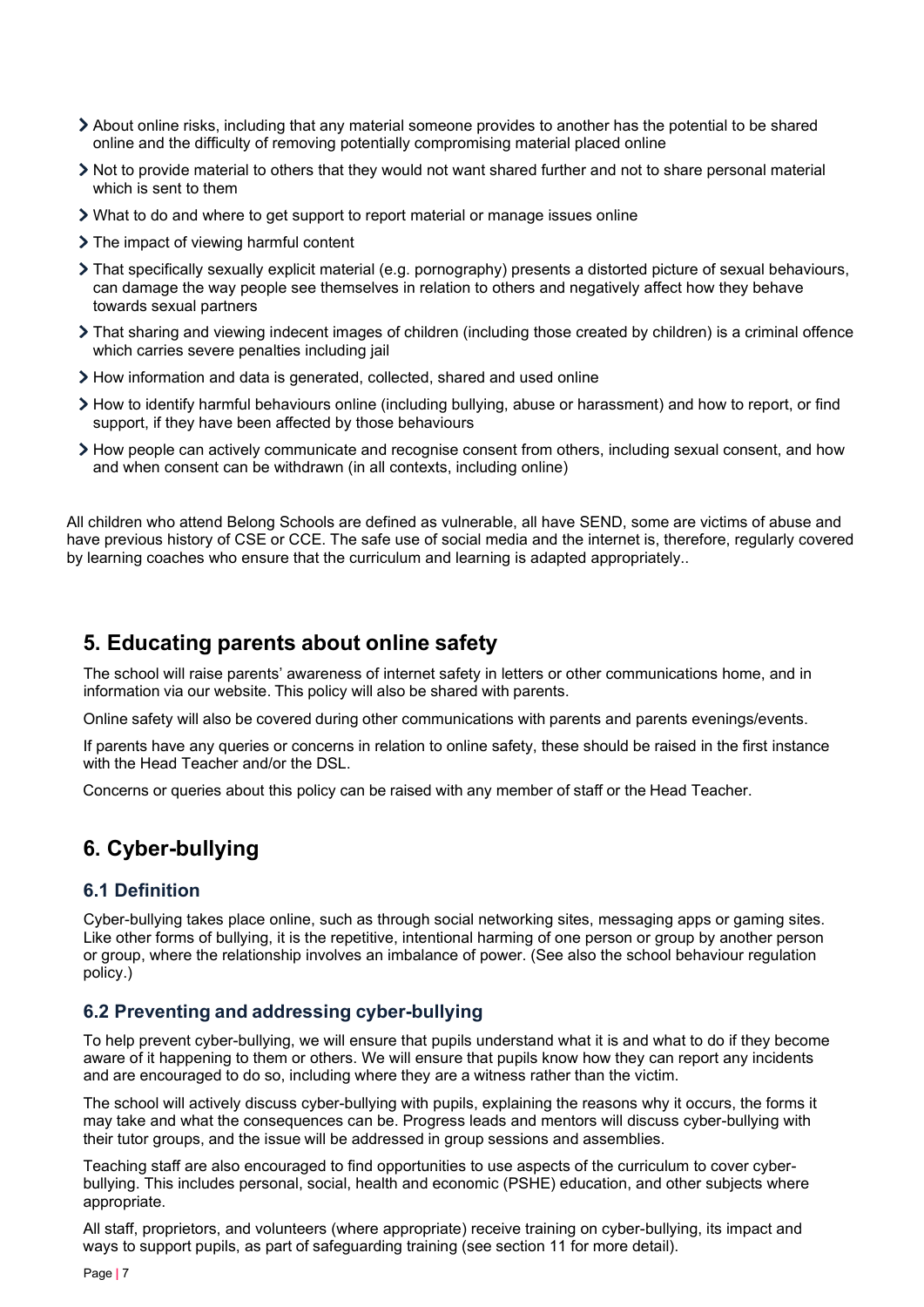- About online risks, including that any material someone provides to another has the potential to be shared online and the difficulty of removing potentially compromising material placed online
- Not to provide material to others that they would not want shared further and not to share personal material which is sent to them
- What to do and where to get support to report material or manage issues online
- > The impact of viewing harmful content
- That specifically sexually explicit material (e.g. pornography) presents a distorted picture of sexual behaviours, can damage the way people see themselves in relation to others and negatively affect how they behave towards sexual partners
- That sharing and viewing indecent images of children (including those created by children) is a criminal offence which carries severe penalties including jail
- How information and data is generated, collected, shared and used online
- How to identify harmful behaviours online (including bullying, abuse or harassment) and how to report, or find support, if they have been affected by those behaviours
- How people can actively communicate and recognise consent from others, including sexual consent, and how and when consent can be withdrawn (in all contexts, including online)

All children who attend Belong Schools are defined as vulnerable, all have SEND, some are victims of abuse and have previous history of CSE or CCE. The safe use of social media and the internet is, therefore, regularly covered by learning coaches who ensure that the curriculum and learning is adapted appropriately..

## <span id="page-6-0"></span>**5. Educating parents about online safety**

The school will raise parents' awareness of internet safety in letters or other communications home, and in information via our website. This policy will also be shared with parents.

Online safety will also be covered during other communications with parents and parents evenings/events.

If parents have any queries or concerns in relation to online safety, these should be raised in the first instance with the Head Teacher and/or the DSL.

Concerns or queries about this policy can be raised with any member of staff or the Head Teacher.

## <span id="page-6-1"></span>**6. Cyber-bullying**

#### **6.1 Definition**

Cyber-bullying takes place online, such as through social networking sites, messaging apps or gaming sites. Like other forms of bullying, it is the repetitive, intentional harming of one person or group by another person or group, where the relationship involves an imbalance of power. (See also the school behaviour regulation policy.)

## **6.2 Preventing and addressing cyber-bullying**

To help prevent cyber-bullying, we will ensure that pupils understand what it is and what to do if they become aware of it happening to them or others. We will ensure that pupils know how they can report any incidents and are encouraged to do so, including where they are a witness rather than the victim.

The school will actively discuss cyber-bullying with pupils, explaining the reasons why it occurs, the forms it may take and what the consequences can be. Progress leads and mentors will discuss cyber-bullying with their tutor groups, and the issue will be addressed in group sessions and assemblies.

Teaching staff are also encouraged to find opportunities to use aspects of the curriculum to cover cyberbullying. This includes personal, social, health and economic (PSHE) education, and other subjects where appropriate.

All staff, proprietors, and volunteers (where appropriate) receive training on cyber-bullying, its impact and ways to support pupils, as part of safeguarding training (see section 11 for more detail).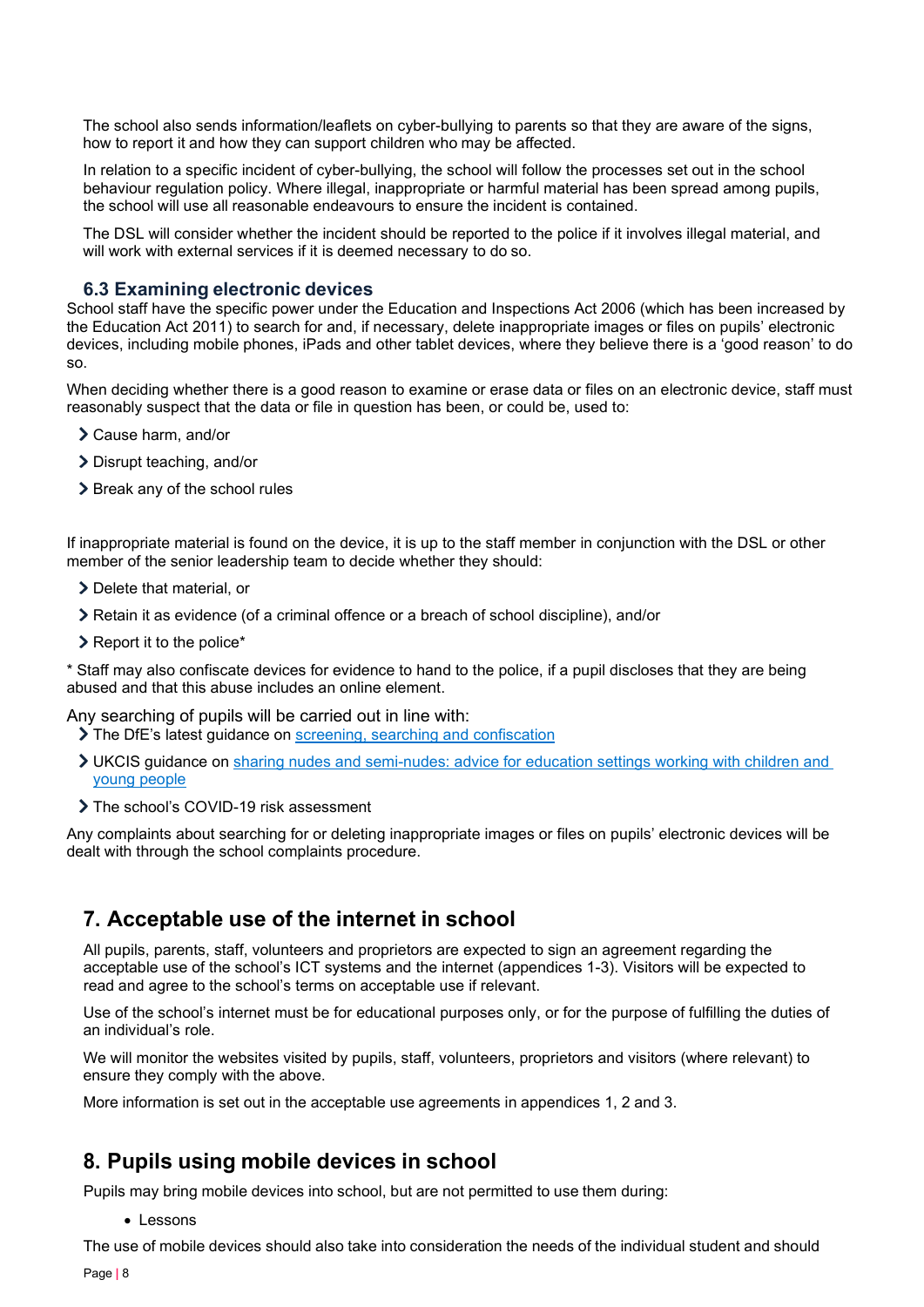The school also sends information/leaflets on cyber-bullying to parents so that they are aware of the signs, how to report it and how they can support children who may be affected.

In relation to a specific incident of cyber-bullying, the school will follow the processes set out in the school behaviour regulation policy. Where illegal, inappropriate or harmful material has been spread among pupils, the school will use all reasonable endeavours to ensure the incident is contained.

The DSL will consider whether the incident should be reported to the police if it involves illegal material, and will work with external services if it is deemed necessary to do so.

### **6.3 Examining electronic devices**

School staff have the specific power under the Education and Inspections Act 2006 (which has been increased by the Education Act 2011) to search for and, if necessary, delete inappropriate images or files on pupils' electronic devices, including mobile phones, iPads and other tablet devices, where they believe there is a 'good reason' to do so.

When deciding whether there is a good reason to examine or erase data or files on an electronic device, staff must reasonably suspect that the data or file in question has been, or could be, used to:

- Cause harm, and/or
- Disrupt teaching, and/or
- > Break any of the school rules

If inappropriate material is found on the device, it is up to the staff member in conjunction with the DSL or other member of the senior leadership team to decide whether they should:

- > Delete that material, or
- Retain it as evidence (of a criminal offence or a breach of school discipline), and/or
- $\geq$  Report it to the police\*

\* Staff may also confiscate devices for evidence to hand to the police, if a pupil discloses that they are being abused and that this abuse includes an online element.

Any searching of pupils will be carried out in line with:

- The DfE's latest guidance on [screening, searching and confiscation](https://www.gov.uk/government/publications/searching-screening-and-confiscation)
- UKCIS guidance on [sharing nudes and semi-nudes: advice for education settings working with children and](https://www.gov.uk/government/publications/sharing-nudes-and-semi-nudes-advice-for-education-settings-working-with-children-and-young-people)  [young people](https://www.gov.uk/government/publications/sharing-nudes-and-semi-nudes-advice-for-education-settings-working-with-children-and-young-people)
- > The school's COVID-19 risk assessment

Any complaints about searching for or deleting inappropriate images or files on pupils' electronic devices will be dealt with through the school complaints procedure.

## <span id="page-7-0"></span>**7. Acceptable use of the internet in school**

All pupils, parents, staff, volunteers and proprietors are expected to sign an agreement regarding the acceptable use of the school's ICT systems and the internet (appendices 1-3). Visitors will be expected to read and agree to the school's terms on acceptable use if relevant.

Use of the school's internet must be for educational purposes only, or for the purpose of fulfilling the duties of an individual's role.

We will monitor the websites visited by pupils, staff, volunteers, proprietors and visitors (where relevant) to ensure they comply with the above.

More information is set out in the acceptable use agreements in appendices 1, 2 and 3.

## <span id="page-7-1"></span>**8. Pupils using mobile devices in school**

Pupils may bring mobile devices into school, but are not permitted to use them during:

• Lessons

The use of mobile devices should also take into consideration the needs of the individual student and should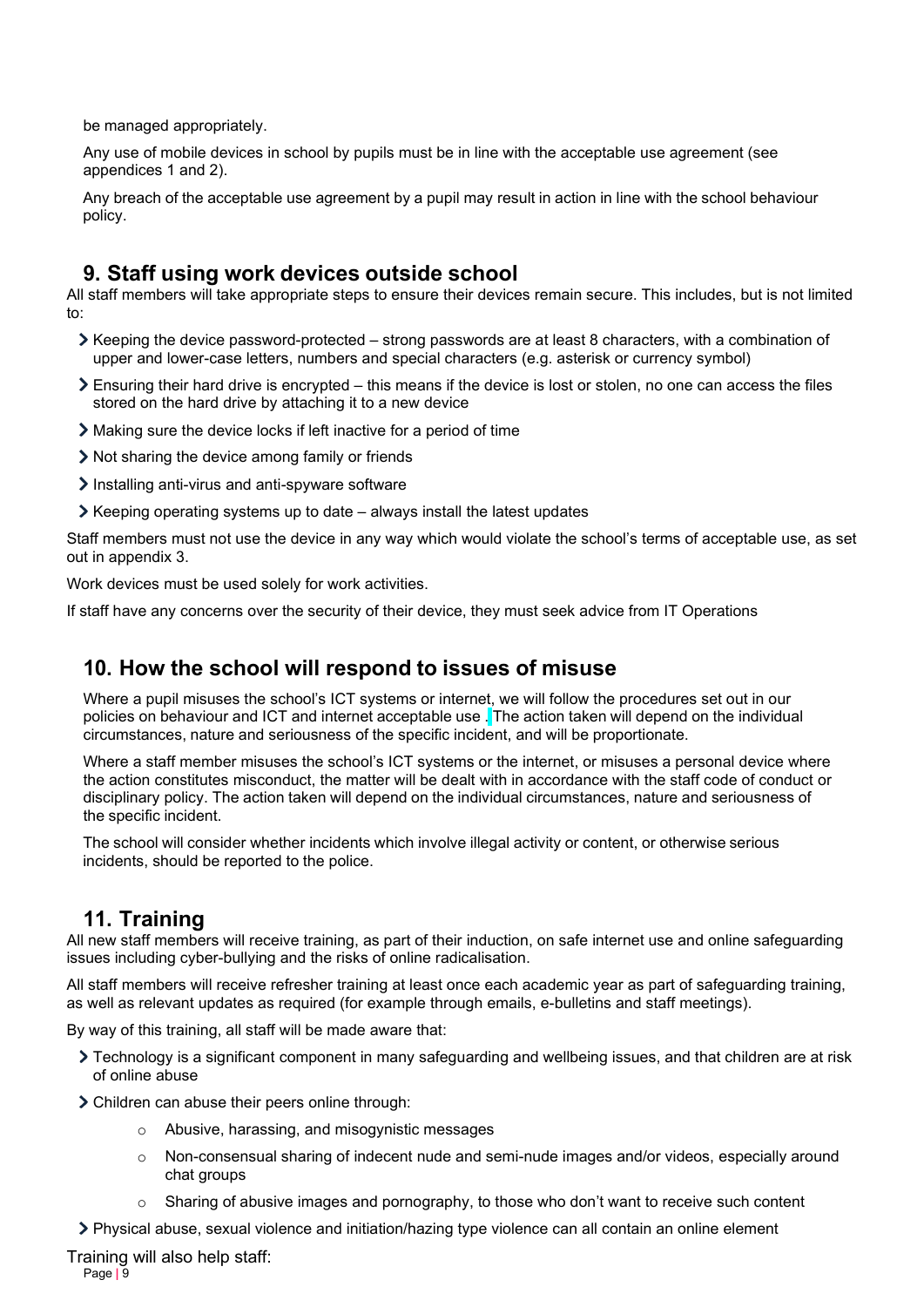be managed appropriately.

Any use of mobile devices in school by pupils must be in line with the acceptable use agreement (see appendices 1 and 2).

Any breach of the acceptable use agreement by a pupil may result in action in line with the school behaviour policy.

## <span id="page-8-0"></span>**9. Staff using work devices outside school**

All staff members will take appropriate steps to ensure their devices remain secure. This includes, but is not limited to:

- $\triangleright$  Keeping the device password-protected strong passwords are at least 8 characters, with a combination of upper and lower-case letters, numbers and special characters (e.g. asterisk or currency symbol)
- Ensuring their hard drive is encrypted this means if the device is lost or stolen, no one can access the files stored on the hard drive by attaching it to a new device
- Making sure the device locks if left inactive for a period of time
- Not sharing the device among family or friends
- Installing anti-virus and anti-spyware software
- $\triangleright$  Keeping operating systems up to date always install the latest updates

Staff members must not use the device in any way which would violate the school's terms of acceptable use, as set out in appendix 3.

Work devices must be used solely for work activities.

If staff have any concerns over the security of their device, they must seek advice from IT Operations

## <span id="page-8-1"></span>**10. How the school will respond to issues of misuse**

Where a pupil misuses the school's ICT systems or internet, we will follow the procedures set out in our policies on behaviour and ICT and internet acceptable use . The action taken will depend on the individual circumstances, nature and seriousness of the specific incident, and will be proportionate.

Where a staff member misuses the school's ICT systems or the internet, or misuses a personal device where the action constitutes misconduct, the matter will be dealt with in accordance with the staff code of conduct or disciplinary policy. The action taken will depend on the individual circumstances, nature and seriousness of the specific incident.

The school will consider whether incidents which involve illegal activity or content, or otherwise serious incidents, should be reported to the police.

## <span id="page-8-2"></span>**11. Training**

All new staff members will receive training, as part of their induction, on safe internet use and online safeguarding issues including cyber-bullying and the risks of online radicalisation.

All staff members will receive refresher training at least once each academic year as part of safeguarding training, as well as relevant updates as required (for example through emails, e-bulletins and staff meetings).

By way of this training, all staff will be made aware that:

- Technology is a significant component in many safeguarding and wellbeing issues, and that children are at risk of online abuse
- Children can abuse their peers online through:
	- o Abusive, harassing, and misogynistic messages
	- o Non-consensual sharing of indecent nude and semi-nude images and/or videos, especially around chat groups
	- Sharing of abusive images and pornography, to those who don't want to receive such content

Physical abuse, sexual violence and initiation/hazing type violence can all contain an online element

Training will also help staff:

Page **|** 9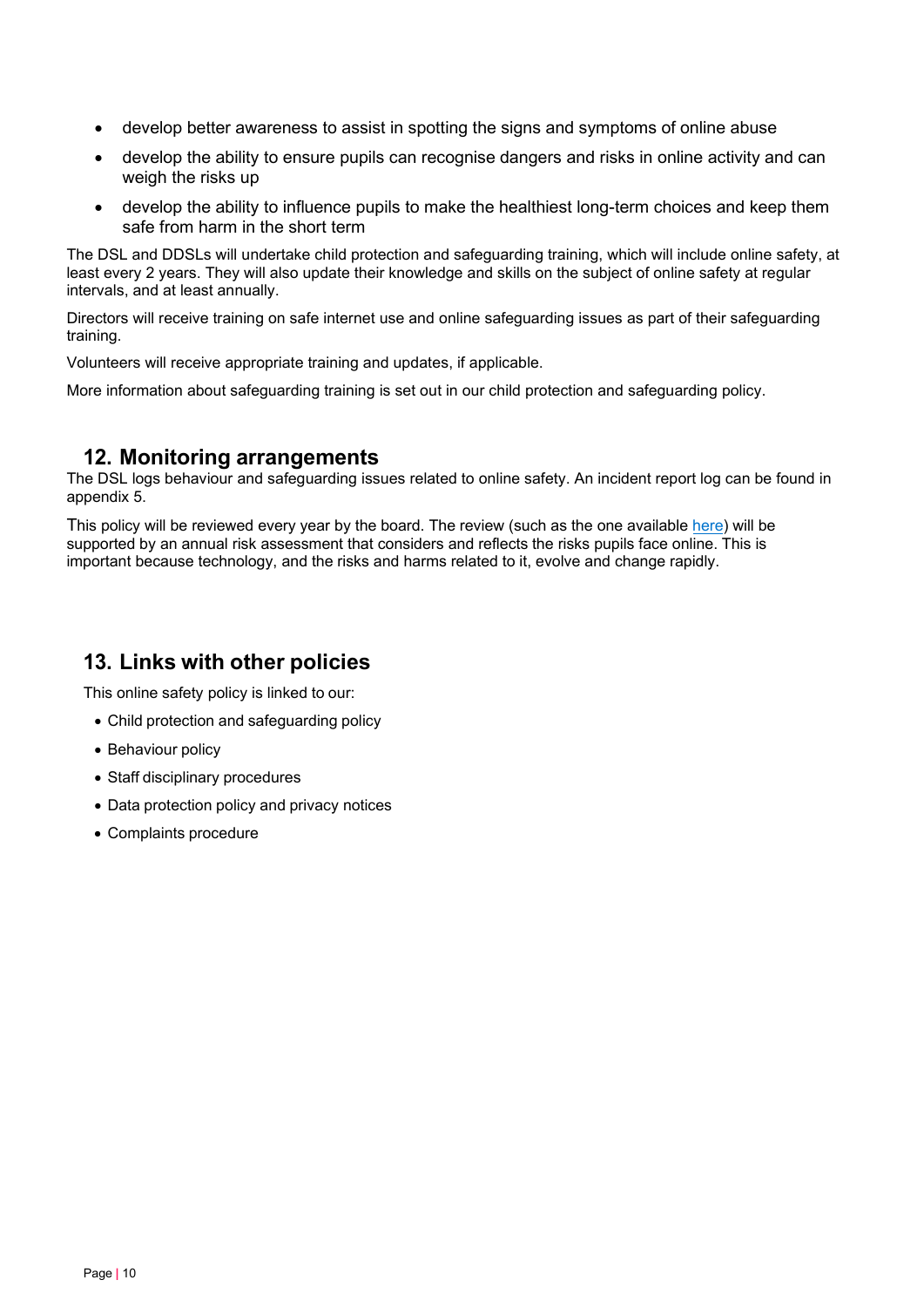- develop better awareness to assist in spotting the signs and symptoms of online abuse
- develop the ability to ensure pupils can recognise dangers and risks in online activity and can weigh the risks up
- develop the ability to influence pupils to make the healthiest long-term choices and keep them safe from harm in the short term

The DSL and DDSLs will undertake child protection and safeguarding training, which will include online safety, at least every 2 years. They will also update their knowledge and skills on the subject of online safety at regular intervals, and at least annually.

Directors will receive training on safe internet use and online safeguarding issues as part of their safeguarding training.

Volunteers will receive appropriate training and updates, if applicable.

More information about safeguarding training is set out in our child protection and safeguarding policy.

## <span id="page-9-0"></span>**12. Monitoring arrangements**

The DSL logs behaviour and safeguarding issues related to online safety. An incident report log can be found in appendix 5.

This policy will be reviewed every year by the board. The review (such as the one available [here\)](https://360safe.org.uk/) will be supported by an annual risk assessment that considers and reflects the risks pupils face online. This is important because technology, and the risks and harms related to it, evolve and change rapidly.

## <span id="page-9-1"></span>**13. Links with other policies**

This online safety policy is linked to our:

- Child protection and safeguarding policy
- Behaviour policy
- Staff disciplinary procedures
- Data protection policy and privacy notices
- Complaints procedure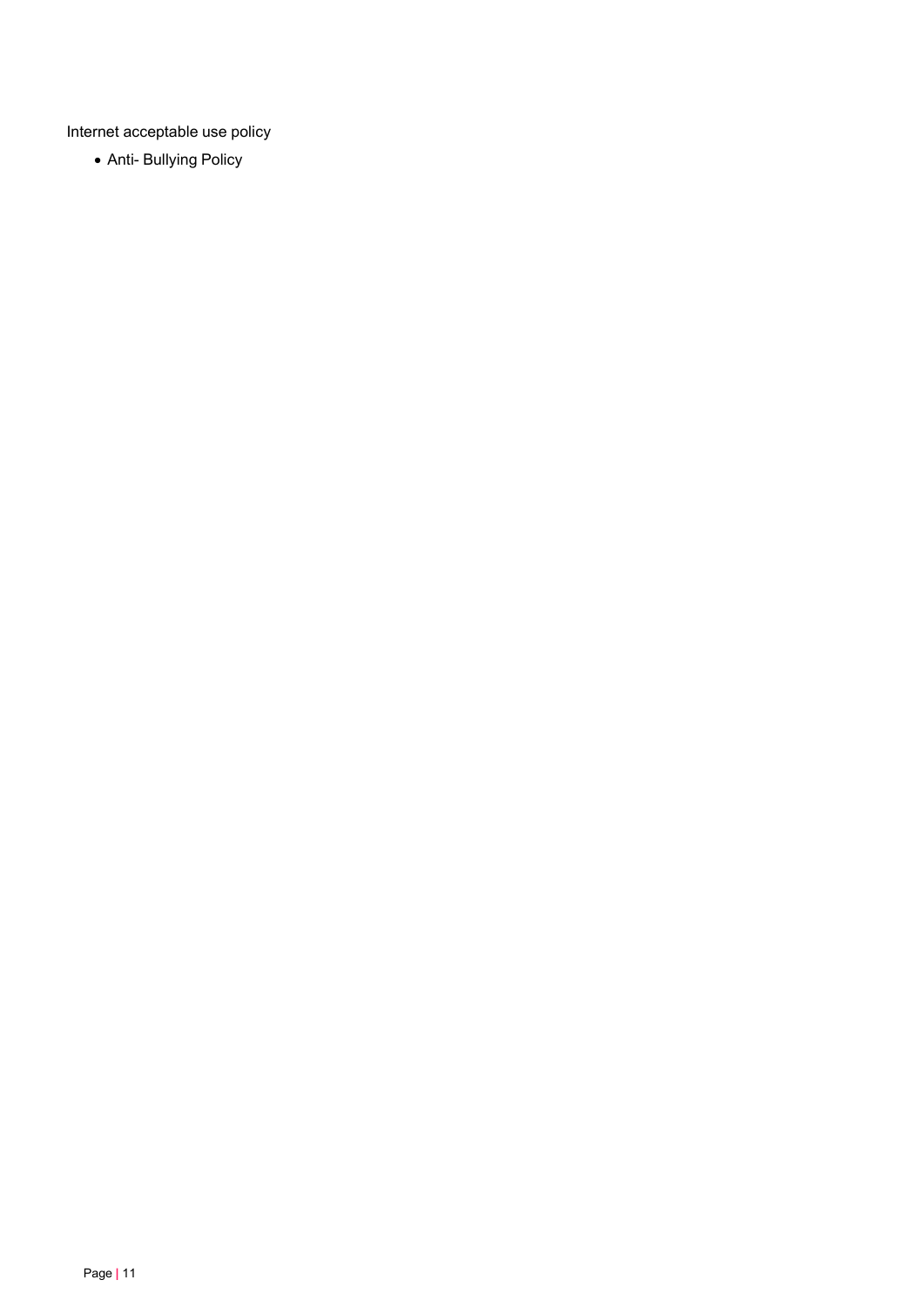Internet acceptable use policy

• Anti- Bullying Policy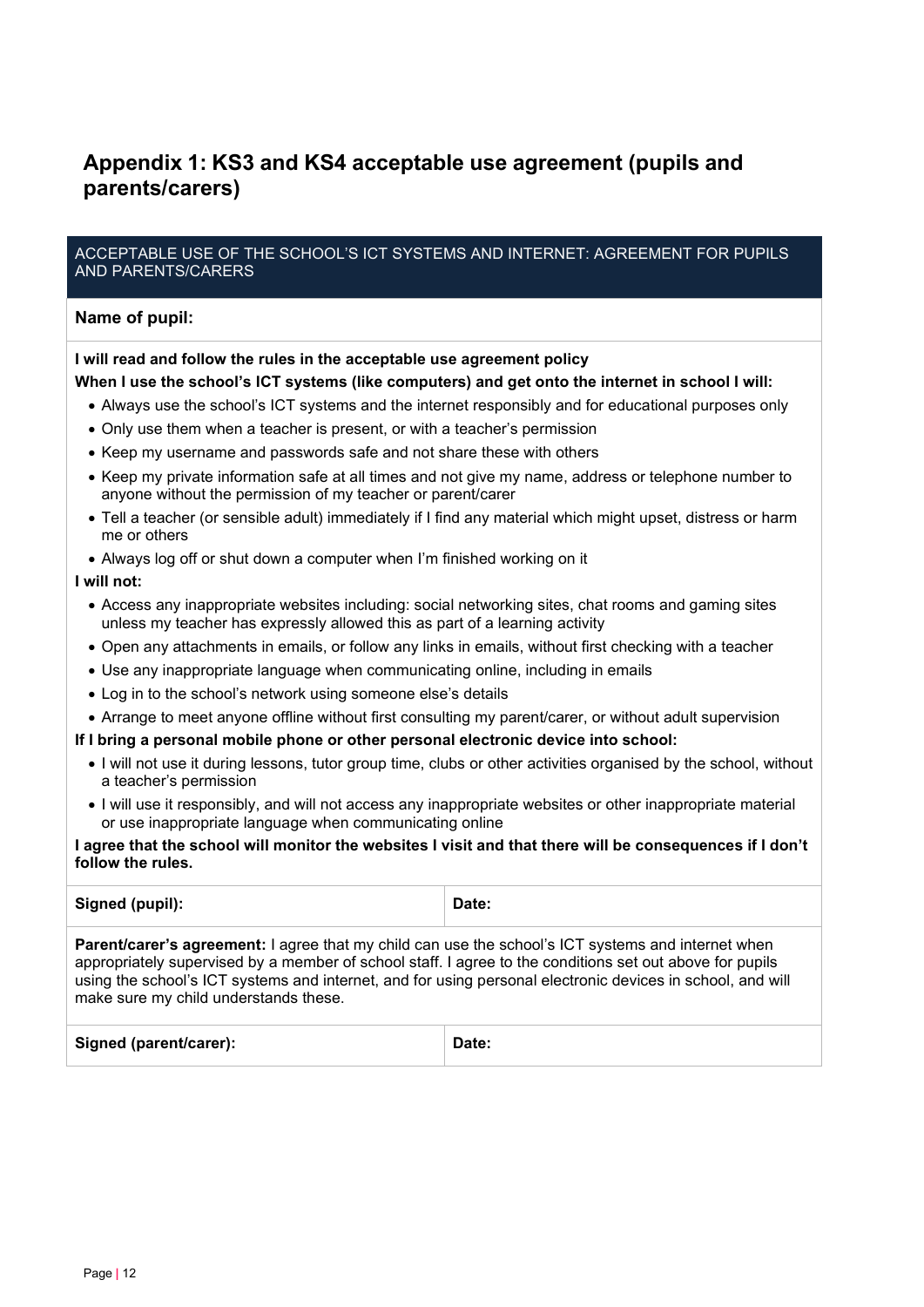## <span id="page-11-0"></span>**Appendix 1: KS3 and KS4 acceptable use agreement (pupils and parents/carers)**

#### ACCEPTABLE USE OF THE SCHOOL'S ICT SYSTEMS AND INTERNET: AGREEMENT FOR PUPILS AND PARENTS/CARERS

#### **Name of pupil:**

#### **I will read and follow the rules in the acceptable use agreement policy**

#### **When I use the school's ICT systems (like computers) and get onto the internet in school I will:**

- Always use the school's ICT systems and the internet responsibly and for educational purposes only
- Only use them when a teacher is present, or with a teacher's permission
- Keep my username and passwords safe and not share these with others
- Keep my private information safe at all times and not give my name, address or telephone number to anyone without the permission of my teacher or parent/carer
- Tell a teacher (or sensible adult) immediately if I find any material which might upset, distress or harm me or others
- Always log off or shut down a computer when I'm finished working on it

#### **I will not:**

- Access any inappropriate websites including: social networking sites, chat rooms and gaming sites unless my teacher has expressly allowed this as part of a learning activity
- Open any attachments in emails, or follow any links in emails, without first checking with a teacher
- Use any inappropriate language when communicating online, including in emails
- Log in to the school's network using someone else's details
- Arrange to meet anyone offline without first consulting my parent/carer, or without adult supervision

#### **If I bring a personal mobile phone or other personal electronic device into school:**

- I will not use it during lessons, tutor group time, clubs or other activities organised by the school, without a teacher's permission
- I will use it responsibly, and will not access any inappropriate websites or other inappropriate material or use inappropriate language when communicating online

#### **I agree that the school will monitor the websites I visit and that there will be consequences if I don't follow the rules.**

| Signed (pupil):                                                                                                                                                                                                                                                                                                                                                              | Date: |  |
|------------------------------------------------------------------------------------------------------------------------------------------------------------------------------------------------------------------------------------------------------------------------------------------------------------------------------------------------------------------------------|-------|--|
| <b>Parent/carer's agreement:</b> I agree that my child can use the school's ICT systems and internet when<br>appropriately supervised by a member of school staff. I agree to the conditions set out above for pupils<br>using the school's ICT systems and internet, and for using personal electronic devices in school, and will<br>make sure my child understands these. |       |  |
| Signed (parent/carer):                                                                                                                                                                                                                                                                                                                                                       | Date: |  |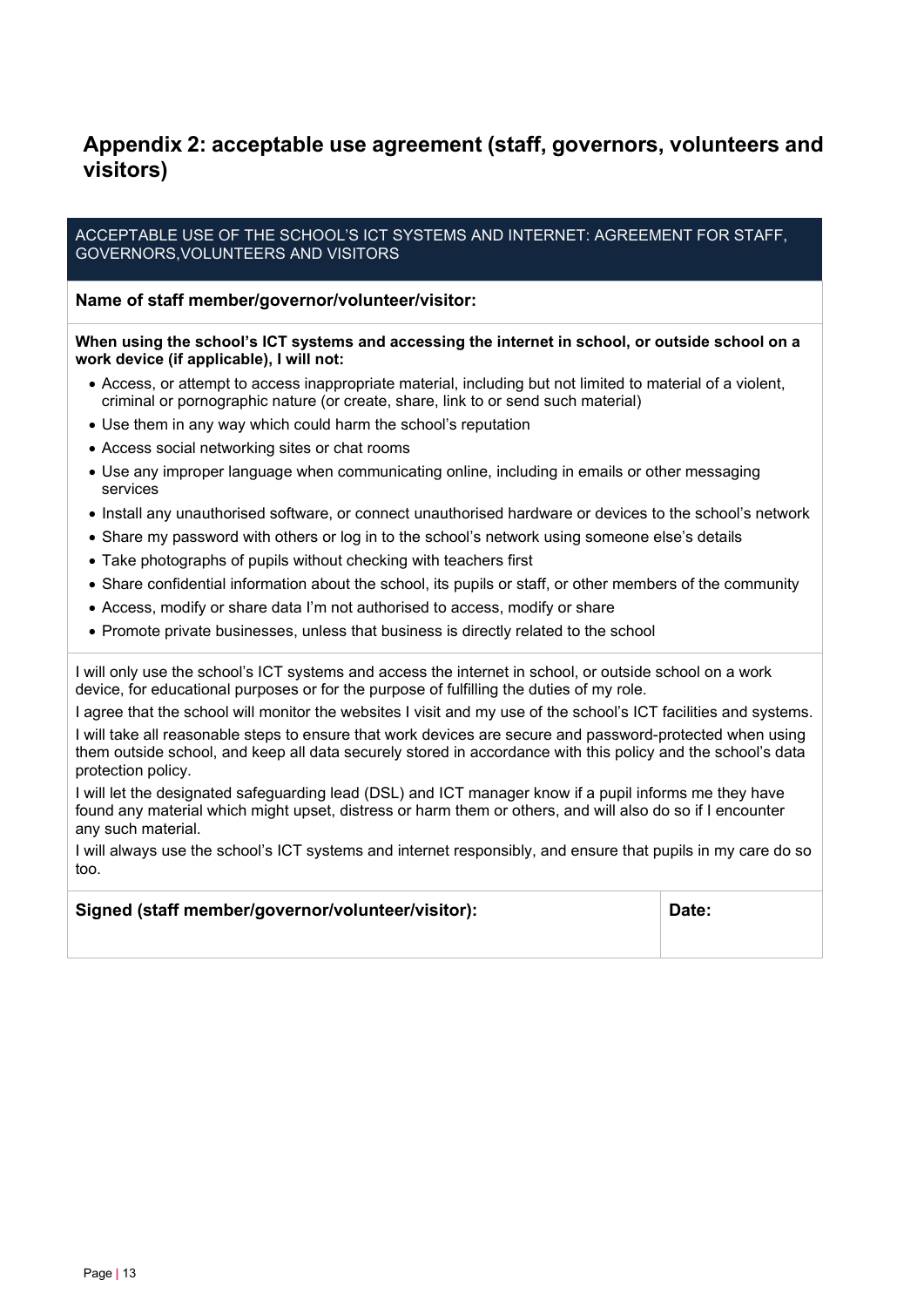## <span id="page-12-0"></span>**Appendix 2: acceptable use agreement (staff, governors, volunteers and visitors)**

ACCEPTABLE USE OF THE SCHOOL'S ICT SYSTEMS AND INTERNET: AGREEMENT FOR STAFF, GOVERNORS,VOLUNTEERS AND VISITORS

**Name of staff member/governor/volunteer/visitor:**

**When using the school's ICT systems and accessing the internet in school, or outside school on a work device (if applicable), I will not:**

- Access, or attempt to access inappropriate material, including but not limited to material of a violent, criminal or pornographic nature (or create, share, link to or send such material)
- Use them in any way which could harm the school's reputation
- Access social networking sites or chat rooms
- Use any improper language when communicating online, including in emails or other messaging services
- Install any unauthorised software, or connect unauthorised hardware or devices to the school's network
- Share my password with others or log in to the school's network using someone else's details
- Take photographs of pupils without checking with teachers first
- Share confidential information about the school, its pupils or staff, or other members of the community
- Access, modify or share data I'm not authorised to access, modify or share
- Promote private businesses, unless that business is directly related to the school

I will only use the school's ICT systems and access the internet in school, or outside school on a work device, for educational purposes or for the purpose of fulfilling the duties of my role.

I agree that the school will monitor the websites I visit and my use of the school's ICT facilities and systems.

I will take all reasonable steps to ensure that work devices are secure and password-protected when using them outside school, and keep all data securely stored in accordance with this policy and the school's data protection policy.

I will let the designated safeguarding lead (DSL) and ICT manager know if a pupil informs me they have found any material which might upset, distress or harm them or others, and will also do so if I encounter any such material.

I will always use the school's ICT systems and internet responsibly, and ensure that pupils in my care do so too.

#### **Signed (staff member/governor/volunteer/visitor): Date:**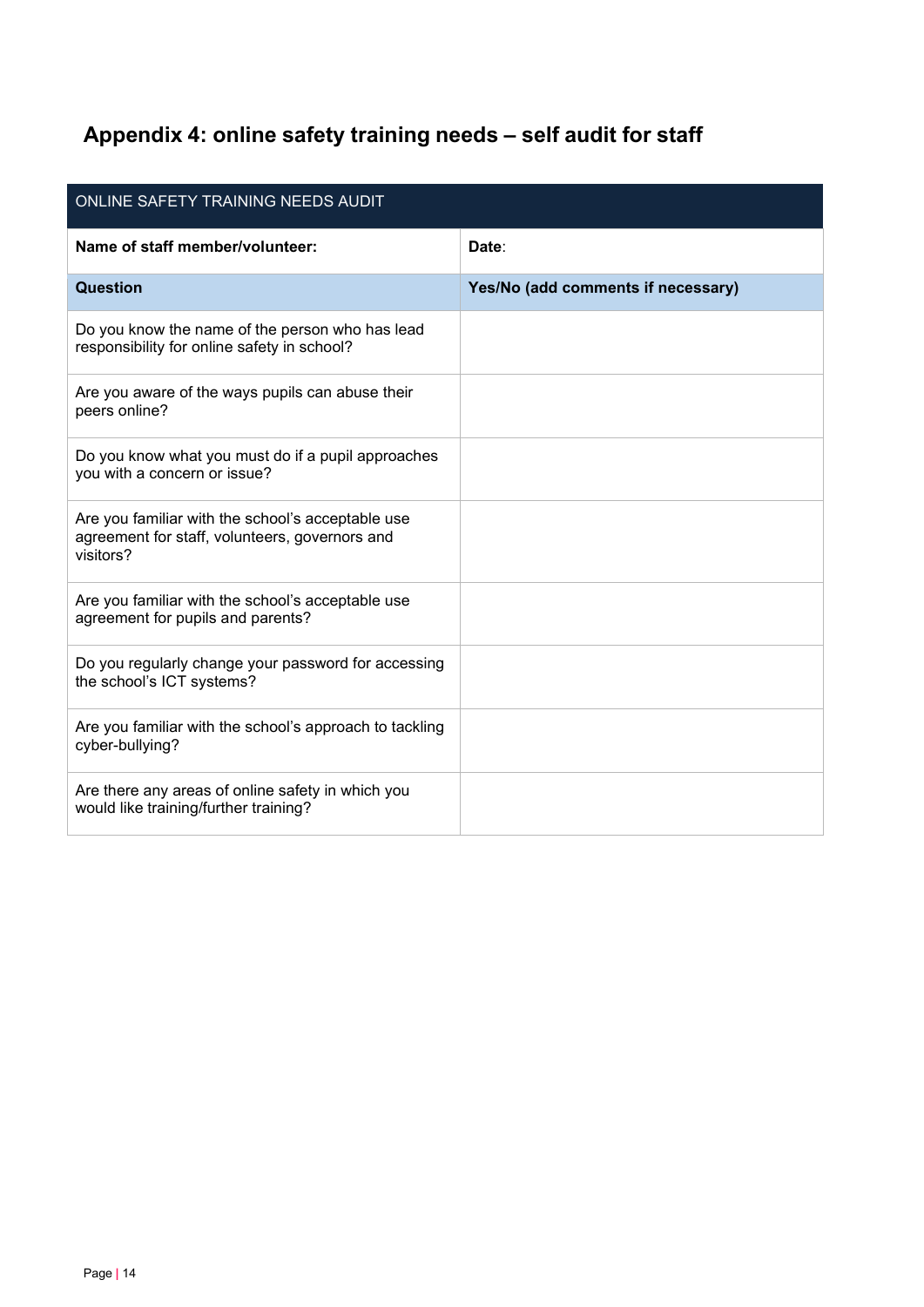## <span id="page-13-0"></span>**Appendix 4: online safety training needs – self audit for staff**

| ONLINE SAFETY TRAINING NEEDS AUDIT                                                                               |                                    |  |  |
|------------------------------------------------------------------------------------------------------------------|------------------------------------|--|--|
| Name of staff member/volunteer:                                                                                  | Date:                              |  |  |
| Question                                                                                                         | Yes/No (add comments if necessary) |  |  |
| Do you know the name of the person who has lead<br>responsibility for online safety in school?                   |                                    |  |  |
| Are you aware of the ways pupils can abuse their<br>peers online?                                                |                                    |  |  |
| Do you know what you must do if a pupil approaches<br>you with a concern or issue?                               |                                    |  |  |
| Are you familiar with the school's acceptable use<br>agreement for staff, volunteers, governors and<br>visitors? |                                    |  |  |
| Are you familiar with the school's acceptable use<br>agreement for pupils and parents?                           |                                    |  |  |
| Do you regularly change your password for accessing<br>the school's ICT systems?                                 |                                    |  |  |
| Are you familiar with the school's approach to tackling<br>cyber-bullying?                                       |                                    |  |  |
| Are there any areas of online safety in which you<br>would like training/further training?                       |                                    |  |  |